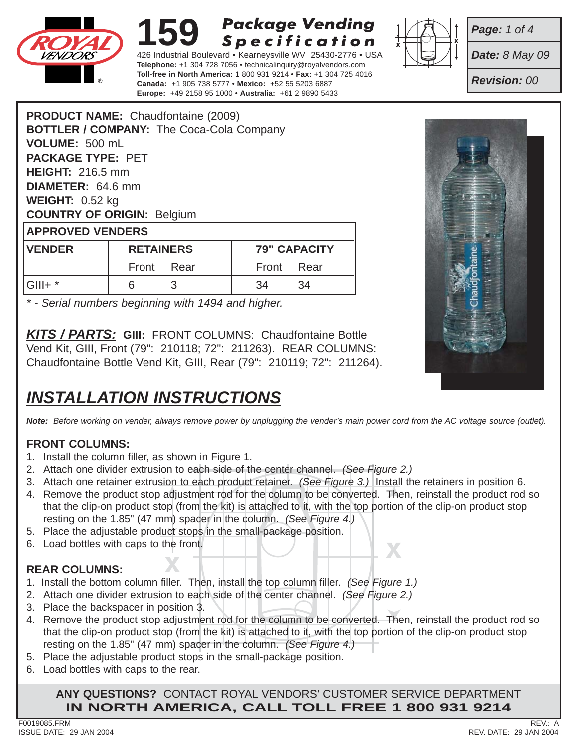

426 Industrial Boulevard • Kearneysville WV 25430-2776 • USA **Telephone:** +1 304 728 7056 • technicalinquiry@royalvendors.com **Toll-free in North America:** 1 800 931 9214 • **Fax:** +1 304 725 4016 **Canada:** +1 905 738 5777 • **Mexico:** +52 55 5203 6887 **Europe:** +49 2158 95 1000 • **Australia:** +61 2 9890 5433



*Date: 8 May 09*

*Page: 1 of 4*

*Revision: 00*

|                                   | <b>PRODUCT NAME:</b> Chaudfontaine (2009)       |                    |  |  |  |
|-----------------------------------|-------------------------------------------------|--------------------|--|--|--|
|                                   | <b>BOTTLER / COMPANY: The Coca-Cola Company</b> |                    |  |  |  |
| VOLUME: 500 mL                    |                                                 |                    |  |  |  |
| <b>PACKAGE TYPE: PET</b>          |                                                 |                    |  |  |  |
| <b>HEIGHT: 216.5 mm</b>           |                                                 |                    |  |  |  |
| <b>DIAMETER: 64.6 mm</b>          |                                                 |                    |  |  |  |
| <b>WEIGHT:</b> $0.52$ kg          |                                                 |                    |  |  |  |
| <b>COUNTRY OF ORIGIN: Belgium</b> |                                                 |                    |  |  |  |
| <b>APPROVED VENDERS</b>           |                                                 |                    |  |  |  |
| <b>IVENDER</b>                    | <b>RETAINERS</b>                                | <b>79" CAPACIT</b> |  |  |  |

| <b>VENDER</b> | <b>RETAINERS</b> |  | <b>79" CAPACITY</b> |    |
|---------------|------------------|--|---------------------|----|
|               | Front Rear       |  | Front Rear          |    |
| $ G   $ + $*$ |                  |  |                     | 34 |

*\* - Serial numbers beginning with 1494 and higher.*

*KITS / PARTS:* **GIII:** FRONT COLUMNS: Chaudfontaine Bottle Vend Kit, GIII, Front (79": 210118; 72": 211263). REAR COLUMNS: Chaudfontaine Bottle Vend Kit, GIII, Rear (79": 210119; 72": 211264).

# *INSTALLATION INSTRUCTIONS*

*Note: Before working on vender, always remove power by unplugging the vender's main power cord from the AC voltage source (outlet).*

## **FRONT COLUMNS:**

- 1. Install the column filler, as shown in Figure 1.
- 2. Attach one divider extrusion to each side of the center channel. *(See Figure 2.)*
- 3. Attach one retainer extrusion to each product retainer. *(See Figure 3.)* Install the retainers in position 6.
- 4. Remove the product stop adjustment rod for the column to be converted. Then, reinstall the product rod so that the clip-on product stop (from the kit) is attached to it, with the top portion of the clip-on product stop resting on the 1.85" (47 mm) spacer in the column. *(See Figure 4.)*
- 5. Place the adjustable product stops in the small-package position.
- **<sup>X</sup> <sup>X</sup>** 6. Load bottles with caps to the front.

### **REAR COLUMNS:**

- 1. Install the bottom column filler. Then, install the top column filler. *(See Figure 1.)*
- 2. Attach one divider extrusion to each side of the center channel. *(See Figure 2.)*
- 3. Place the backspacer in position 3.
- 4. Remove the product stop adjustment rod for the column to be converted. Then, reinstall the product rod so that the clip-on product stop (from the kit) is attached to it, with the top portion of the clip-on product stop resting on the 1.85" (47 mm) spacer in the column. *(See Figure 4.)*
- 5. Place the adjustable product stops in the small-package position.
- 6. Load bottles with caps to the rear.

**ANY QUESTIONS?** CONTACT ROYAL VENDORS' CUSTOMER SERVICE DEPARTMENT **IN NORTH AMERICA, CALL TOLL FREE 1 800 931 9214**

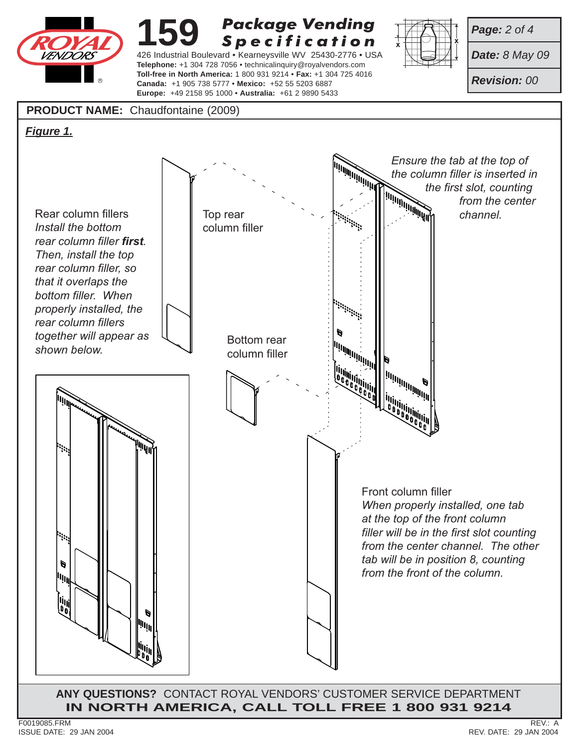

426 Industrial Boulevard • Kearneysville WV 25430-2776 • USA **Telephone:** +1 304 728 7056 • technicalinquiry@royalvendors.com **Toll-free in North America:** 1 800 931 9214 • **Fax:** +1 304 725 4016 **Canada:** +1 905 738 5777 • **Mexico:** +52 55 5203 6887 **Europe:** +49 2158 95 1000 • **Australia:** +61 2 9890 5433



*Page: 2 of 4*

*Date: 8 May 09*

*Revision: 00*

### **PRODUCT NAME:** Chaudfontaine (2009)

*Figure 1.*

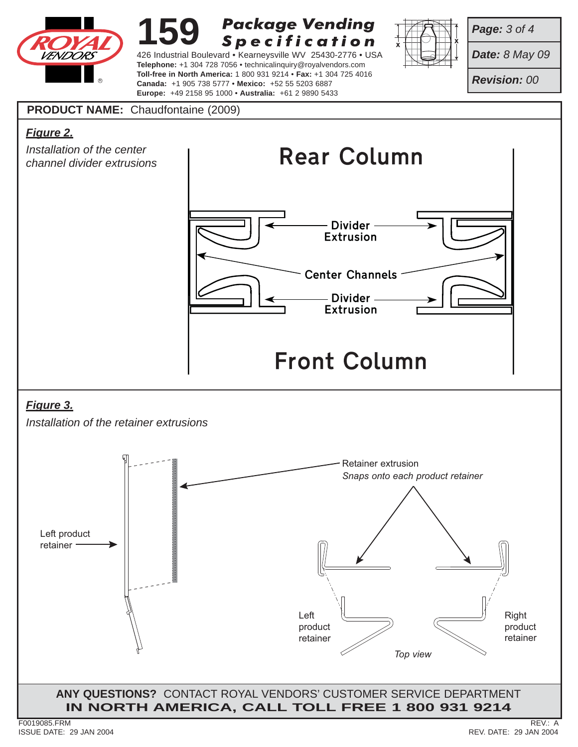

426 Industrial Boulevard • Kearneysville WV 25430-2776 • USA **Telephone:** +1 304 728 7056 • technicalinquiry@royalvendors.com **Toll-free in North America:** 1 800 931 9214 • **Fax:** +1 304 725 4016 **Canada:** +1 905 738 5777 • **Mexico:** +52 55 5203 6887 **Europe:** +49 2158 95 1000 • **Australia:** +61 2 9890 5433



*Page: 3 of 4*

*Date: 8 May 09*

*Revision: 00*

## **PRODUCT NAME:** Chaudfontaine (2009)

## *Figure 2.*



## *Figure 3.*

*Installation of the retainer extrusions*